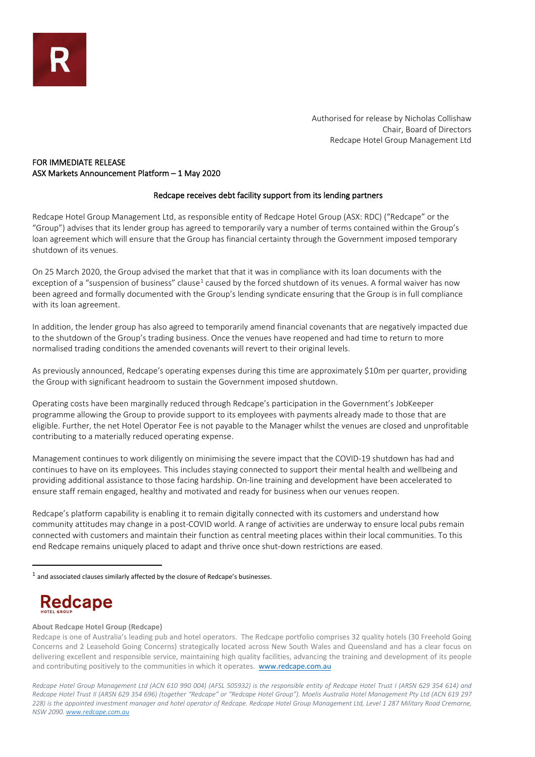Authorised for release by Nicholas Collishaw Chair, Board of Directors Redcape Hotel Group Management Ltd

## FOR IMMEDIATE RELEASE ASX Markets Announcement Platform – 1 May 2020

## Redcape receives debt facility support from its lending partners

Redcape Hotel Group Management Ltd, as responsible entity of Redcape Hotel Group (ASX: RDC) ("Redcape" or the "Group") advises that its lender group has agreed to temporarily vary a number of terms contained within the Group's loan agreement which will ensure that the Group has financial certainty through the Government imposed temporary shutdown of its venues.

On 25 March 2020, the Group advised the market that that it was in compliance with its loan documents with the exception of a "suspension of business" clause<sup>[1](#page-0-0)</sup> caused by the forced shutdown of its venues. A formal waiver has now been agreed and formally documented with the Group's lending syndicate ensuring that the Group is in full compliance with its loan agreement.

In addition, the lender group has also agreed to temporarily amend financial covenants that are negatively impacted due to the shutdown of the Group's trading business. Once the venues have reopened and had time to return to more normalised trading conditions the amended covenants will revert to their original levels.

As previously announced, Redcape's operating expenses during this time are approximately \$10m per quarter, providing the Group with significant headroom to sustain the Government imposed shutdown.

Operating costs have been marginally reduced through Redcape's participation in the Government's JobKeeper programme allowing the Group to provide support to its employees with payments already made to those that are eligible. Further, the net Hotel Operator Fee is not payable to the Manager whilst the venues are closed and unprofitable contributing to a materially reduced operating expense.

Management continues to work diligently on minimising the severe impact that the COVID-19 shutdown has had and continues to have on its employees. This includes staying connected to support their mental health and wellbeing and providing additional assistance to those facing hardship. On-line training and development have been accelerated to ensure staff remain engaged, healthy and motivated and ready for business when our venues reopen.

Redcape's platform capability is enabling it to remain digitally connected with its customers and understand how community attitudes may change in a post-COVID world. A range of activities are underway to ensure local pubs remain connected with customers and maintain their function as central meeting places within their local communities. To this end Redcape remains uniquely placed to adapt and thrive once shut-down restrictions are eased.

# **Redcape**

## **About Redcape Hotel Group (Redcape)**

*Redcape Hotel Group Management Ltd (ACN 610 990 004) (AFSL 505932) is the responsible entity of Redcape Hotel Trust I (ARSN 629 354 614) and Redcape Hotel Trust II (ARSN 629 354 696) (together "Redcape" or "Redcape Hotel Group"). Moelis Australia Hotel Management Pty Ltd (ACN 619 297 228) is the appointed investment manager and hotel operator of Redcape. Redcape Hotel Group Management Ltd, Level 1 287 Military Road Cremorne, NSW 2090[. www.redcape.com.au](http://www.redcape.com.au/)*

<span id="page-0-0"></span> $1$  and associated clauses similarly affected by the closure of Redcape's businesses.

Redcape is one of Australia's leading pub and hotel operators. The Redcape portfolio comprises 32 quality hotels (30 Freehold Going Concerns and 2 Leasehold Going Concerns) strategically located across New South Wales and Queensland and has a clear focus on delivering excellent and responsible service, maintaining high quality facilities, advancing the training and development of its people and contributing positively to the communities in which it operates. [www.redcape.com.au](http://www.redcape.com.au/)